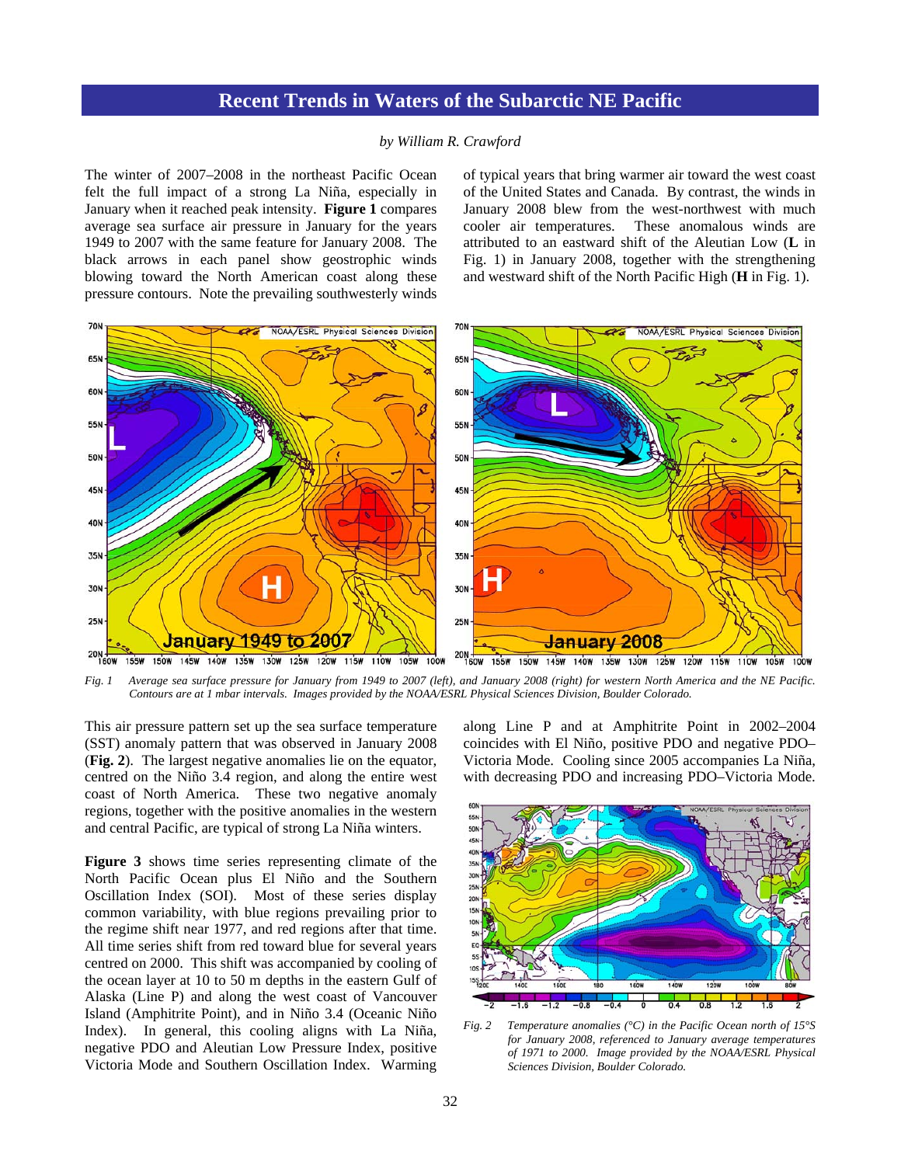## **Recent Trends in Waters of the Subarctic NE Pacific**

## *by William R. Crawford*

The winter of 2007–2008 in the northeast Pacific Ocean felt the full impact of a strong La Niña, especially in January when it reached peak intensity. **Figure 1** compares average sea surface air pressure in January for the years 1949 to 2007 with the same feature for January 2008. The black arrows in each panel show geostrophic winds blowing toward the North American coast along these pressure contours. Note the prevailing southwesterly winds of typical years that bring warmer air toward the west coast of the United States and Canada. By contrast, the winds in January 2008 blew from the west-northwest with much cooler air temperatures. These anomalous winds are attributed to an eastward shift of the Aleutian Low (**L** in Fig. 1) in January 2008, together with the strengthening and westward shift of the North Pacific High (**H** in Fig. 1).



*Fig. 1 Average sea surface pressure for January from 1949 to 2007 (left), and January 2008 (right) for western North America and the NE Pacific. Contours are at 1 mbar intervals. Images provided by the NOAA/ESRL Physical Sciences Division, Boulder Colorado.* 

This air pressure pattern set up the sea surface temperature (SST) anomaly pattern that was observed in January 2008 (**Fig. 2**). The largest negative anomalies lie on the equator, centred on the Niño 3.4 region, and along the entire west coast of North America. These two negative anomaly regions, together with the positive anomalies in the western and central Pacific, are typical of strong La Niña winters.

**Figure 3** shows time series representing climate of the North Pacific Ocean plus El Niño and the Southern Oscillation Index (SOI). Most of these series display common variability, with blue regions prevailing prior to the regime shift near 1977, and red regions after that time. All time series shift from red toward blue for several years centred on 2000. This shift was accompanied by cooling of the ocean layer at 10 to 50 m depths in the eastern Gulf of Alaska (Line P) and along the west coast of Vancouver Island (Amphitrite Point), and in Niño 3.4 (Oceanic Niño Index). In general, this cooling aligns with La Niña, negative PDO and Aleutian Low Pressure Index, positive Victoria Mode and Southern Oscillation Index. Warming

along Line P and at Amphitrite Point in 2002–2004 coincides with El Niño, positive PDO and negative PDO– Victoria Mode. Cooling since 2005 accompanies La Niña, with decreasing PDO and increasing PDO–Victoria Mode.



*Fig. 2 Temperature anomalies (°C) in the Pacific Ocean north of 15°S for January 2008, referenced to January average temperatures of 1971 to 2000. Image provided by the NOAA/ESRL Physical Sciences Division, Boulder Colorado.*